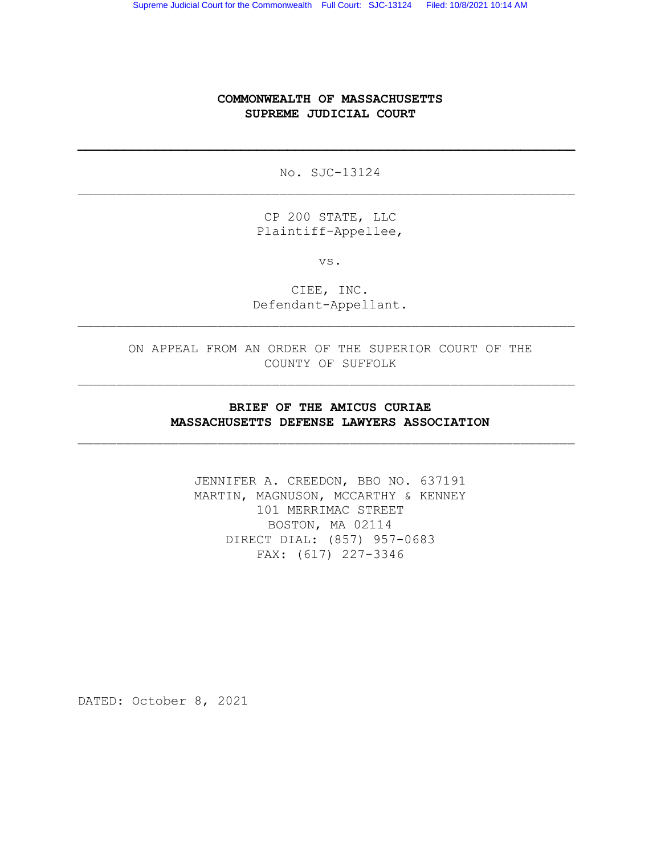## COMMONWEALTH OF MASSACHUSETTS SUPREME JUDICIAL COURT

No. SJC-13124  $\_$  , and the set of the set of the set of the set of the set of the set of the set of the set of the set of the set of the set of the set of the set of the set of the set of the set of the set of the set of the set of th

 $\mathcal{L}_\text{max}$  , and the contribution of the contribution of the contribution of the contribution of the contribution of the contribution of the contribution of the contribution of the contribution of the contribution of t

CP 200 STATE, LLC Plaintiff-Appellee,

vs.

CIEE, INC. Defendant-Appellant.

 $\_$  , and the set of the set of the set of the set of the set of the set of the set of the set of the set of the set of the set of the set of the set of the set of the set of the set of the set of the set of the set of th

ON APPEAL FROM AN ORDER OF THE SUPERIOR COURT OF THE COUNTY OF SUFFOLK

 $\_$  , and the set of the set of the set of the set of the set of the set of the set of the set of the set of the set of the set of the set of the set of the set of the set of the set of the set of the set of the set of th

### BRIEF OF THE AMICUS CURIAE MASSACHUSETTS DEFENSE LAWYERS ASSOCIATION

 $\_$  , and the set of the set of the set of the set of the set of the set of the set of the set of the set of the set of the set of the set of the set of the set of the set of the set of the set of the set of the set of th

JENNIFER A. CREEDON, BBO NO. 637191 MARTIN, MAGNUSON, MCCARTHY & KENNEY 101 MERRIMAC STREET BOSTON, MA 02114 DIRECT DIAL: (857) 957-0683 FAX: (617) 227-3346

DATED: October 8, 2021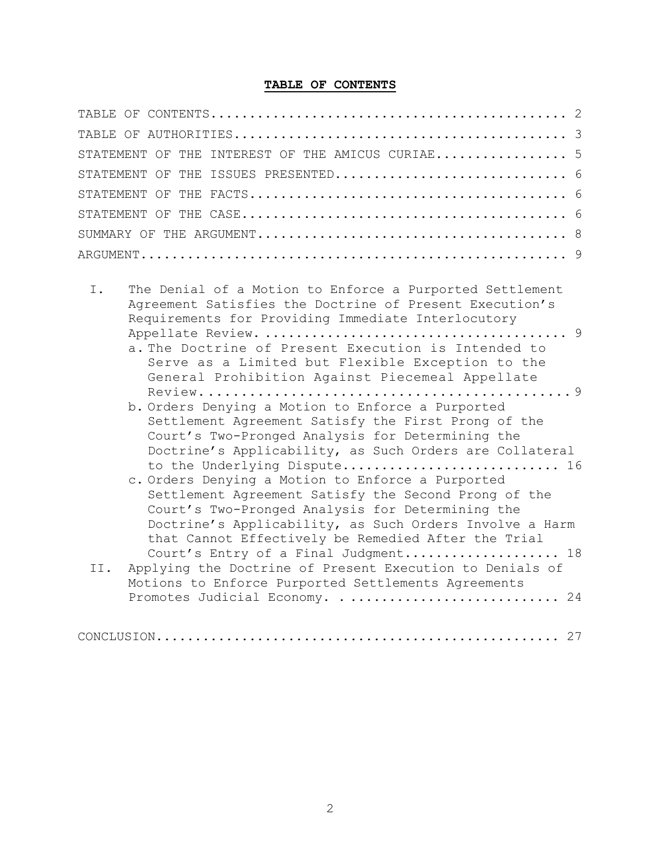# TABLE OF CONTENTS

| STATEMENT OF THE INTEREST OF THE AMICUS CURIAE 5                                                                                                                                                                                                                                                                                                                                                                                                                                                                                                                                   |
|------------------------------------------------------------------------------------------------------------------------------------------------------------------------------------------------------------------------------------------------------------------------------------------------------------------------------------------------------------------------------------------------------------------------------------------------------------------------------------------------------------------------------------------------------------------------------------|
| STATEMENT OF THE ISSUES PRESENTED 6                                                                                                                                                                                                                                                                                                                                                                                                                                                                                                                                                |
|                                                                                                                                                                                                                                                                                                                                                                                                                                                                                                                                                                                    |
|                                                                                                                                                                                                                                                                                                                                                                                                                                                                                                                                                                                    |
|                                                                                                                                                                                                                                                                                                                                                                                                                                                                                                                                                                                    |
|                                                                                                                                                                                                                                                                                                                                                                                                                                                                                                                                                                                    |
| $T_{\rm{L}}$<br>The Denial of a Motion to Enforce a Purported Settlement<br>Agreement Satisfies the Doctrine of Present Execution's<br>Requirements for Providing Immediate Interlocutory<br>a. The Doctrine of Present Execution is Intended to<br>Serve as a Limited but Flexible Exception to the<br>General Prohibition Against Piecemeal Appellate<br>b. Orders Denying a Motion to Enforce a Purported<br>Settlement Agreement Satisfy the First Prong of the<br>Court's Two-Pronged Analysis for Determining the<br>Doctrine's Applicability, as Such Orders are Collateral |
| to the Underlying Dispute 16<br>c. Orders Denying a Motion to Enforce a Purported<br>Settlement Agreement Satisfy the Second Prong of the                                                                                                                                                                                                                                                                                                                                                                                                                                          |

| Settlement Agreement Satisfy the Second Prong of the    |  |
|---------------------------------------------------------|--|
| Court's Two-Pronged Analysis for Determining the        |  |
| Doctrine's Applicability, as Such Orders Involve a Harm |  |
| that Cannot Effectively be Remedied After the Trial     |  |
| Court's Entry of a Final Judgment 18                    |  |

| II. Applying the Doctrine of Present Execution to Denials of |  |
|--------------------------------------------------------------|--|
| Motions to Enforce Purported Settlements Agreements          |  |
| Promotes Judicial Economy.  24                               |  |

|--|--|--|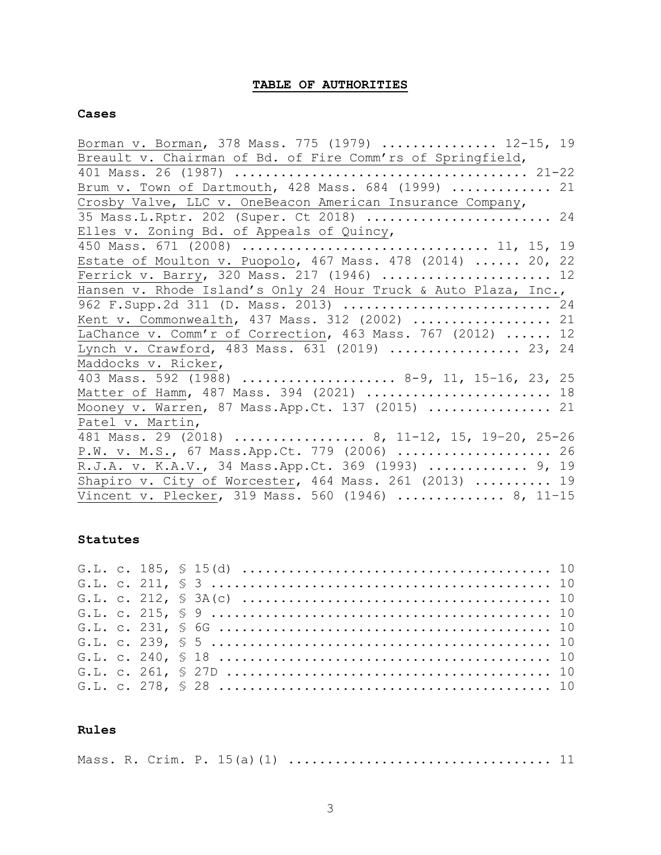# TABLE OF AUTHORITIES

### Cases

| Borman v. Borman, 378 Mass. 775 (1979)  12-15, 19               |  |
|-----------------------------------------------------------------|--|
| Breault v. Chairman of Bd. of Fire Comm'rs of Springfield,      |  |
|                                                                 |  |
| Brum v. Town of Dartmouth, 428 Mass. 684 (1999)  21             |  |
| Crosby Valve, LLC v. OneBeacon American Insurance Company,      |  |
| 35 Mass.L.Rptr. 202 (Super. Ct 2018)  24                        |  |
| Elles v. Zoning Bd. of Appeals of Quincy,                       |  |
| 450 Mass. 671 (2008)  11, 15, 19                                |  |
| Estate of Moulton v. Puopolo, 467 Mass. 478 (2014)  20, 22      |  |
| Ferrick v. Barry, 320 Mass. 217 (1946)  12                      |  |
| Hansen v. Rhode Island's Only 24 Hour Truck & Auto Plaza, Inc., |  |
| 962 F. Supp. 2d 311 (D. Mass. 2013)  24                         |  |
| Kent v. Commonwealth, 437 Mass. 312 (2002)  21                  |  |
| LaChance v. Comm'r of Correction, 463 Mass. 767 (2012)  12      |  |
| Lynch v. Crawford, 483 Mass. 631 (2019)  23, 24                 |  |
| Maddocks v. Ricker,                                             |  |
| 403 Mass. 592 (1988)  8-9, 11, 15-16, 23, 25                    |  |
| Matter of Hamm, 487 Mass. 394 (2021)  18                        |  |
| Mooney v. Warren, 87 Mass. App. Ct. 137 (2015)  21              |  |
| Patel v. Martin,                                                |  |
| 481 Mass. 29 (2018)  8, 11-12, 15, 19-20, 25-26                 |  |
| P.W. v. M.S., 67 Mass. App. Ct. 779 (2006)  26                  |  |
| R.J.A. v. K.A.V., 34 Mass.App.Ct. 369 (1993)  9, 19             |  |
| Shapiro v. City of Worcester, 464 Mass. 261 (2013)  19          |  |
| Vincent v. Plecker, 319 Mass. 560 (1946)  8, 11-15              |  |

### Statutes

## Rules

|--|--|--|--|--|--|--|--|--|--|--|--|--|--|--|--|--|--|--|--|--|--|--|--|--|--|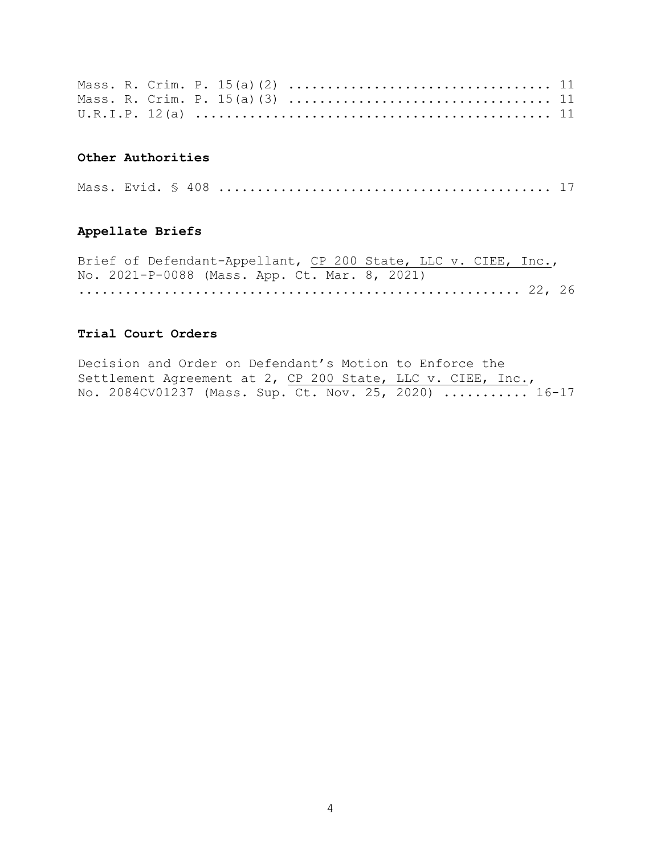### Other Authorities

|--|--|--|--|--|--|--|

### Appellate Briefs

Brief of Defendant-Appellant, CP 200 State, LLC v. CIEE, Inc., No. 2021-P-0088 (Mass. App. Ct. Mar. 8, 2021) ......................................................... 22, 26

### Trial Court Orders

Decision and Order on Defendant's Motion to Enforce the Settlement Agreement at 2, CP 200 State, LLC v. CIEE, Inc., No. 2084CV01237 (Mass. Sup. Ct. Nov. 25, 2020) ............ 16-17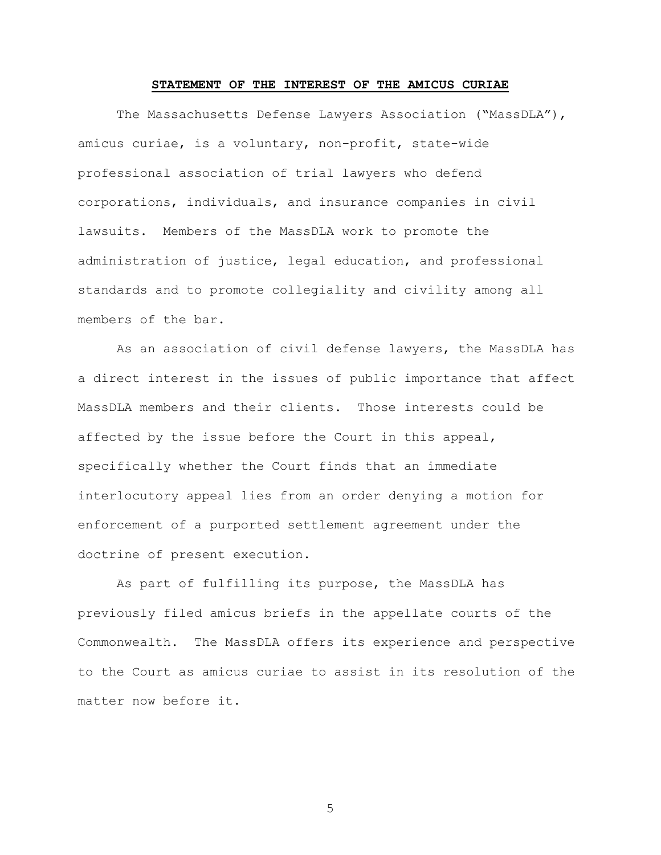## STATEMENT OF THE INTEREST OF THE AMICUS CURIAE

The Massachusetts Defense Lawyers Association ("MassDLA"), amicus curiae, is a voluntary, non-profit, state-wide professional association of trial lawyers who defend corporations, individuals, and insurance companies in civil lawsuits. Members of the MassDLA work to promote the administration of justice, legal education, and professional standards and to promote collegiality and civility among all members of the bar.

As an association of civil defense lawyers, the MassDLA has a direct interest in the issues of public importance that affect MassDLA members and their clients. Those interests could be affected by the issue before the Court in this appeal, specifically whether the Court finds that an immediate interlocutory appeal lies from an order denying a motion for enforcement of a purported settlement agreement under the doctrine of present execution.

As part of fulfilling its purpose, the MassDLA has previously filed amicus briefs in the appellate courts of the Commonwealth. The MassDLA offers its experience and perspective to the Court as amicus curiae to assist in its resolution of the matter now before it.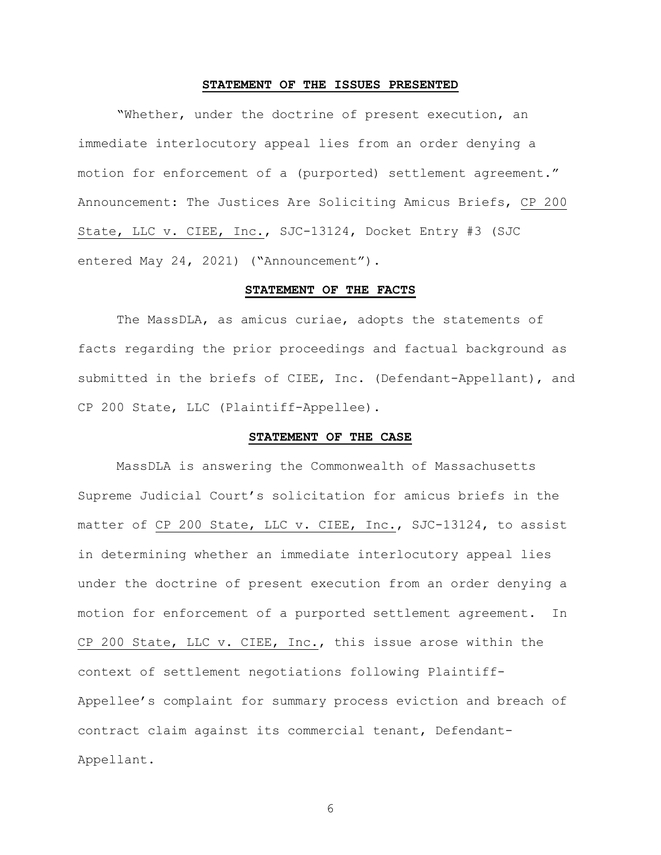#### STATEMENT OF THE ISSUES PRESENTED

"Whether, under the doctrine of present execution, an immediate interlocutory appeal lies from an order denying a motion for enforcement of a (purported) settlement agreement." Announcement: The Justices Are Soliciting Amicus Briefs, CP 200 State, LLC v. CIEE, Inc., SJC-13124, Docket Entry #3 (SJC entered May 24, 2021) ("Announcement").

### STATEMENT OF THE FACTS

The MassDLA, as amicus curiae, adopts the statements of facts regarding the prior proceedings and factual background as submitted in the briefs of CIEE, Inc. (Defendant-Appellant), and CP 200 State, LLC (Plaintiff-Appellee).

#### STATEMENT OF THE CASE

MassDLA is answering the Commonwealth of Massachusetts Supreme Judicial Court's solicitation for amicus briefs in the matter of CP 200 State, LLC v. CIEE, Inc., SJC-13124, to assist in determining whether an immediate interlocutory appeal lies under the doctrine of present execution from an order denying a motion for enforcement of a purported settlement agreement. In CP 200 State, LLC v. CIEE, Inc., this issue arose within the context of settlement negotiations following Plaintiff-Appellee's complaint for summary process eviction and breach of contract claim against its commercial tenant, Defendant-Appellant.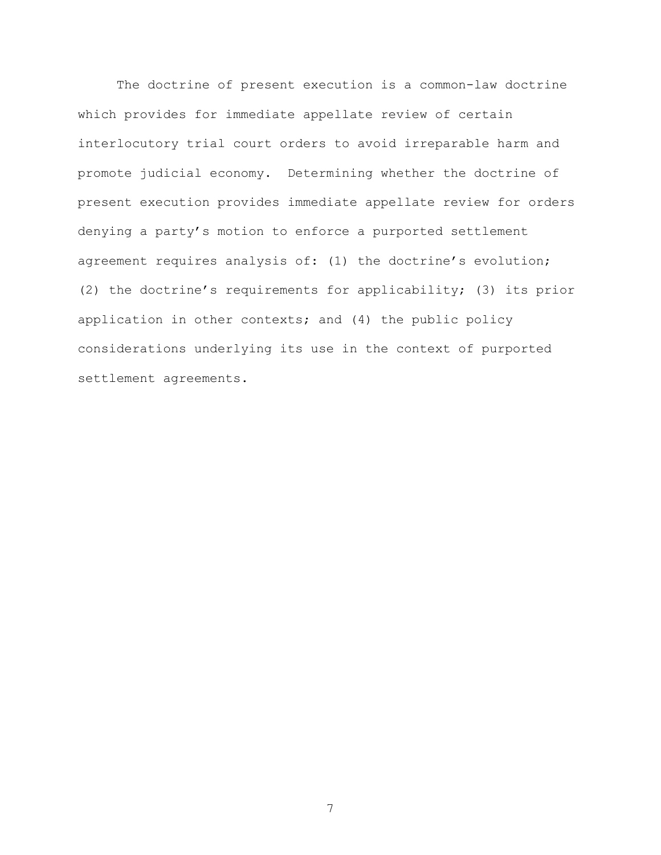The doctrine of present execution is a common-law doctrine which provides for immediate appellate review of certain interlocutory trial court orders to avoid irreparable harm and promote judicial economy. Determining whether the doctrine of present execution provides immediate appellate review for orders denying a party's motion to enforce a purported settlement agreement requires analysis of: (1) the doctrine's evolution; (2) the doctrine's requirements for applicability; (3) its prior application in other contexts; and (4) the public policy considerations underlying its use in the context of purported settlement agreements.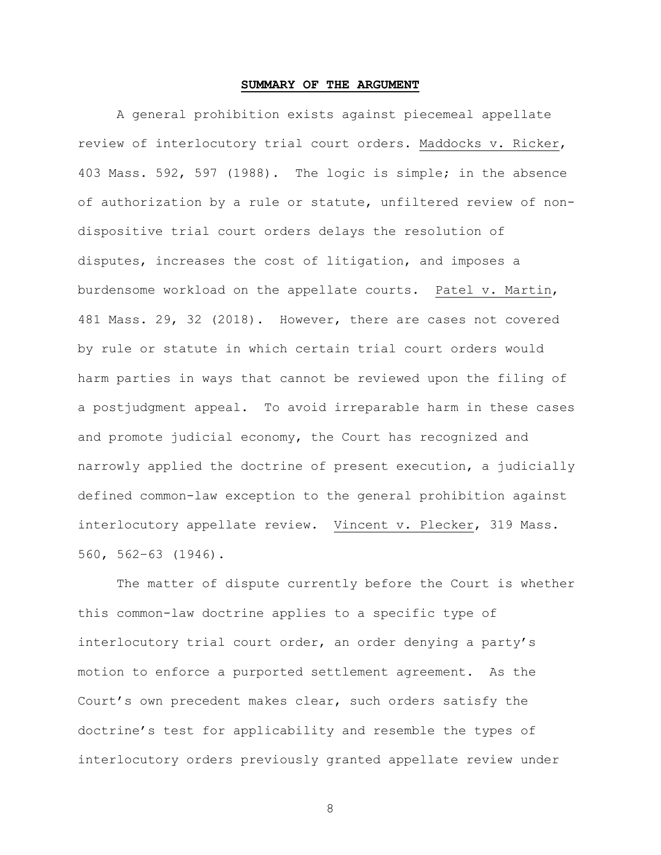### SUMMARY OF THE ARGUMENT

A general prohibition exists against piecemeal appellate review of interlocutory trial court orders. Maddocks v. Ricker, 403 Mass. 592, 597 (1988). The logic is simple; in the absence of authorization by a rule or statute, unfiltered review of nondispositive trial court orders delays the resolution of disputes, increases the cost of litigation, and imposes a burdensome workload on the appellate courts. Patel v. Martin, 481 Mass. 29, 32 (2018). However, there are cases not covered by rule or statute in which certain trial court orders would harm parties in ways that cannot be reviewed upon the filing of a postjudgment appeal. To avoid irreparable harm in these cases and promote judicial economy, the Court has recognized and narrowly applied the doctrine of present execution, a judicially defined common-law exception to the general prohibition against interlocutory appellate review. Vincent v. Plecker, 319 Mass. 560, 562–63 (1946).

The matter of dispute currently before the Court is whether this common-law doctrine applies to a specific type of interlocutory trial court order, an order denying a party's motion to enforce a purported settlement agreement. As the Court's own precedent makes clear, such orders satisfy the doctrine's test for applicability and resemble the types of interlocutory orders previously granted appellate review under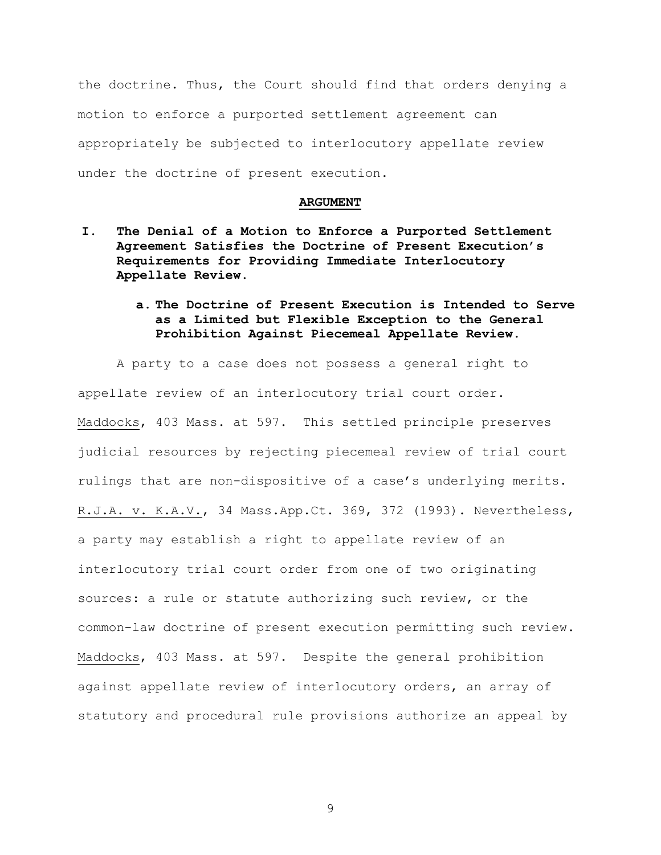the doctrine. Thus, the Court should find that orders denying a motion to enforce a purported settlement agreement can appropriately be subjected to interlocutory appellate review under the doctrine of present execution.

#### ARGUMENT

- I. The Denial of a Motion to Enforce a Purported Settlement Agreement Satisfies the Doctrine of Present Execution's Requirements for Providing Immediate Interlocutory Appellate Review.
	- a. The Doctrine of Present Execution is Intended to Serve as a Limited but Flexible Exception to the General Prohibition Against Piecemeal Appellate Review.

A party to a case does not possess a general right to appellate review of an interlocutory trial court order. Maddocks, 403 Mass. at 597. This settled principle preserves judicial resources by rejecting piecemeal review of trial court rulings that are non-dispositive of a case's underlying merits. R.J.A. v. K.A.V., 34 Mass.App.Ct. 369, 372 (1993). Nevertheless, a party may establish a right to appellate review of an interlocutory trial court order from one of two originating sources: a rule or statute authorizing such review, or the common-law doctrine of present execution permitting such review. Maddocks, 403 Mass. at 597. Despite the general prohibition against appellate review of interlocutory orders, an array of statutory and procedural rule provisions authorize an appeal by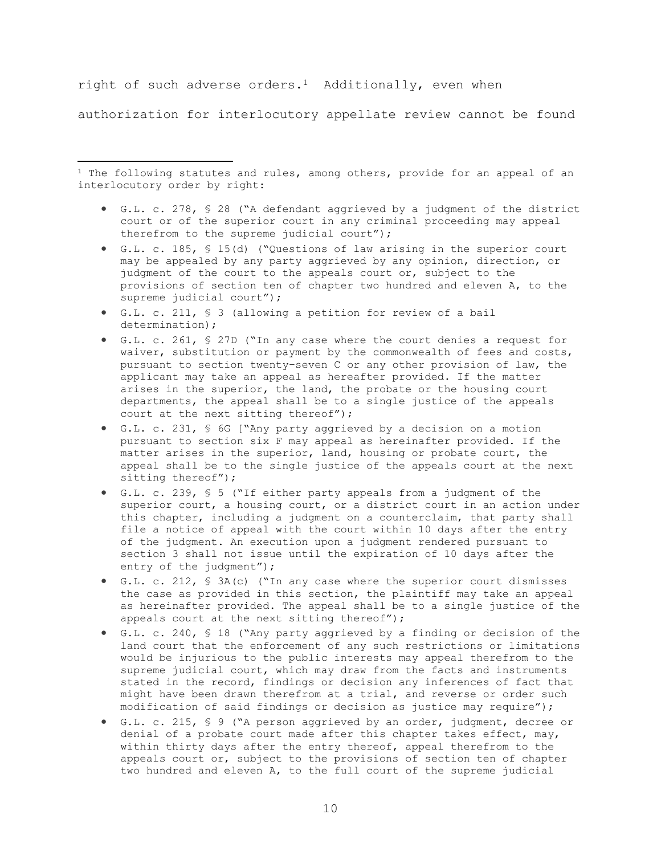right of such adverse orders.<sup>1</sup> Additionally, even when

authorization for interlocutory appellate review cannot be found

 $1$  The following statutes and rules, among others, provide for an appeal of an interlocutory order by right:

- G.L. c. 278, § 28 ("A defendant aggrieved by a judgment of the district court or of the superior court in any criminal proceeding may appeal therefrom to the supreme judicial court");
- G.L. c. 185, § 15(d) ("Questions of law arising in the superior court may be appealed by any party aggrieved by any opinion, direction, or judgment of the court to the appeals court or, subject to the provisions of section ten of chapter two hundred and eleven A, to the supreme judicial court");
- G.L. c. 211, § 3 (allowing a petition for review of a bail determination);
- G.L. c. 261, § 27D ("In any case where the court denies a request for waiver, substitution or payment by the commonwealth of fees and costs, pursuant to section twenty–seven C or any other provision of law, the applicant may take an appeal as hereafter provided. If the matter arises in the superior, the land, the probate or the housing court departments, the appeal shall be to a single justice of the appeals court at the next sitting thereof");
- G.L. c. 231, § 6G ["Any party aggrieved by a decision on a motion pursuant to section six F may appeal as hereinafter provided. If the matter arises in the superior, land, housing or probate court, the appeal shall be to the single justice of the appeals court at the next sitting thereof");
- G.L. c. 239, § 5 ("If either party appeals from a judgment of the superior court, a housing court, or a district court in an action under this chapter, including a judgment on a counterclaim, that party shall file a notice of appeal with the court within 10 days after the entry of the judgment. An execution upon a judgment rendered pursuant to section 3 shall not issue until the expiration of 10 days after the entry of the judgment");
- G.L. c. 212, § 3A(c) ("In any case where the superior court dismisses the case as provided in this section, the plaintiff may take an appeal as hereinafter provided. The appeal shall be to a single justice of the appeals court at the next sitting thereof");
- G.L. c. 240, § 18 ("Any party aggrieved by a finding or decision of the land court that the enforcement of any such restrictions or limitations would be injurious to the public interests may appeal therefrom to the supreme judicial court, which may draw from the facts and instruments stated in the record, findings or decision any inferences of fact that might have been drawn therefrom at a trial, and reverse or order such modification of said findings or decision as justice may require");
- G.L. c. 215, § 9 ("A person aggrieved by an order, judgment, decree or denial of a probate court made after this chapter takes effect, may, within thirty days after the entry thereof, appeal therefrom to the appeals court or, subject to the provisions of section ten of chapter two hundred and eleven A, to the full court of the supreme judicial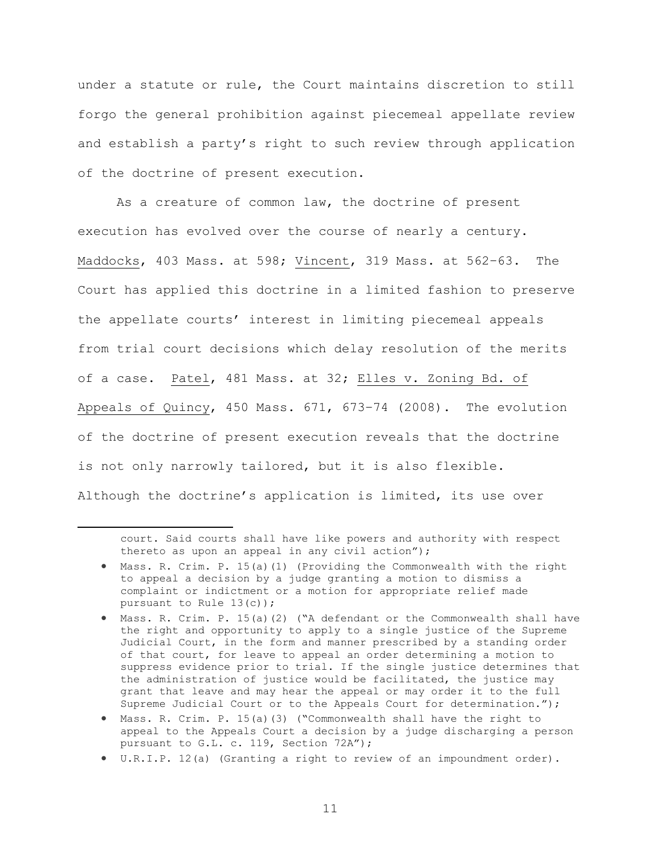under a statute or rule, the Court maintains discretion to still forgo the general prohibition against piecemeal appellate review and establish a party's right to such review through application of the doctrine of present execution.

As a creature of common law, the doctrine of present execution has evolved over the course of nearly a century. Maddocks, 403 Mass. at 598; Vincent, 319 Mass. at 562–63. The Court has applied this doctrine in a limited fashion to preserve the appellate courts' interest in limiting piecemeal appeals from trial court decisions which delay resolution of the merits of a case. Patel, 481 Mass. at 32; Elles v. Zoning Bd. of Appeals of Quincy, 450 Mass. 671, 673–74 (2008). The evolution of the doctrine of present execution reveals that the doctrine is not only narrowly tailored, but it is also flexible. Although the doctrine's application is limited, its use over

court. Said courts shall have like powers and authority with respect thereto as upon an appeal in any civil action");

- Mass. R. Crim. P. 15(a)(1) (Providing the Commonwealth with the right to appeal a decision by a judge granting a motion to dismiss a complaint or indictment or a motion for appropriate relief made pursuant to Rule 13(c));
- Mass. R. Crim. P. 15(a)(2) ("A defendant or the Commonwealth shall have the right and opportunity to apply to a single justice of the Supreme Judicial Court, in the form and manner prescribed by a standing order of that court, for leave to appeal an order determining a motion to suppress evidence prior to trial. If the single justice determines that the administration of justice would be facilitated, the justice may grant that leave and may hear the appeal or may order it to the full Supreme Judicial Court or to the Appeals Court for determination.");
- Mass. R. Crim. P. 15(a)(3) ("Commonwealth shall have the right to appeal to the Appeals Court a decision by a judge discharging a person pursuant to G.L. c. 119, Section 72A");
- U.R.I.P. 12(a) (Granting a right to review of an impoundment order).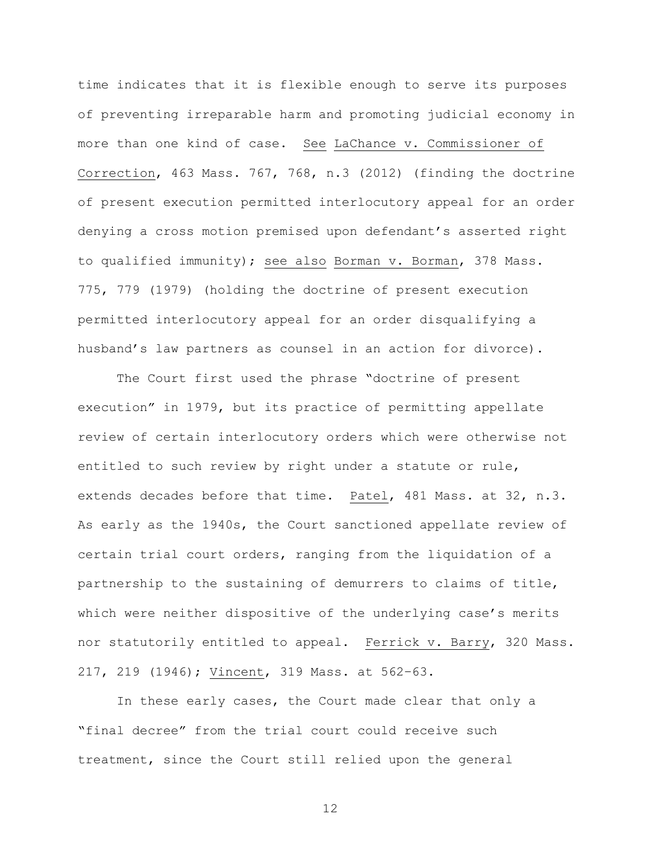time indicates that it is flexible enough to serve its purposes of preventing irreparable harm and promoting judicial economy in more than one kind of case. See LaChance v. Commissioner of Correction, 463 Mass. 767, 768, n.3 (2012) (finding the doctrine of present execution permitted interlocutory appeal for an order denying a cross motion premised upon defendant's asserted right to qualified immunity); see also Borman v. Borman, 378 Mass. 775, 779 (1979) (holding the doctrine of present execution permitted interlocutory appeal for an order disqualifying a husband's law partners as counsel in an action for divorce).

The Court first used the phrase "doctrine of present execution" in 1979, but its practice of permitting appellate review of certain interlocutory orders which were otherwise not entitled to such review by right under a statute or rule, extends decades before that time. Patel, 481 Mass. at 32, n.3. As early as the 1940s, the Court sanctioned appellate review of certain trial court orders, ranging from the liquidation of a partnership to the sustaining of demurrers to claims of title, which were neither dispositive of the underlying case's merits nor statutorily entitled to appeal. Ferrick v. Barry, 320 Mass. 217, 219 (1946); Vincent, 319 Mass. at 562–63.

In these early cases, the Court made clear that only a "final decree" from the trial court could receive such treatment, since the Court still relied upon the general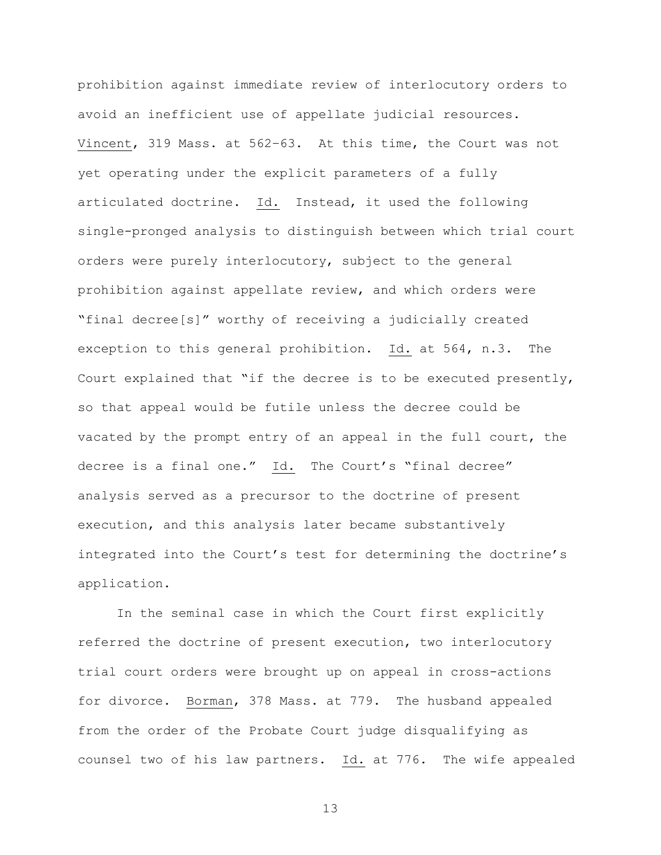prohibition against immediate review of interlocutory orders to avoid an inefficient use of appellate judicial resources. Vincent, 319 Mass. at 562–63. At this time, the Court was not yet operating under the explicit parameters of a fully articulated doctrine. Id. Instead, it used the following single-pronged analysis to distinguish between which trial court orders were purely interlocutory, subject to the general prohibition against appellate review, and which orders were "final decree[s]" worthy of receiving a judicially created exception to this general prohibition. Id. at 564, n.3. The Court explained that "if the decree is to be executed presently, so that appeal would be futile unless the decree could be vacated by the prompt entry of an appeal in the full court, the decree is a final one." Id. The Court's "final decree" analysis served as a precursor to the doctrine of present execution, and this analysis later became substantively integrated into the Court's test for determining the doctrine's application.

In the seminal case in which the Court first explicitly referred the doctrine of present execution, two interlocutory trial court orders were brought up on appeal in cross-actions for divorce. Borman, 378 Mass. at 779. The husband appealed from the order of the Probate Court judge disqualifying as counsel two of his law partners. Id. at 776. The wife appealed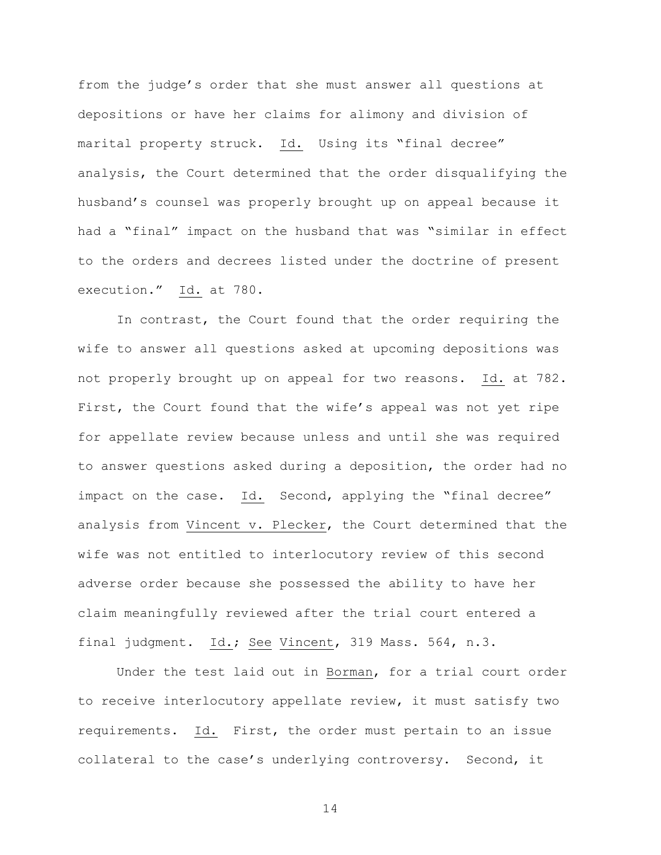from the judge's order that she must answer all questions at depositions or have her claims for alimony and division of marital property struck. Id. Using its "final decree" analysis, the Court determined that the order disqualifying the husband's counsel was properly brought up on appeal because it had a "final" impact on the husband that was "similar in effect to the orders and decrees listed under the doctrine of present execution."  $\underline{Id}$ . at 780.

In contrast, the Court found that the order requiring the wife to answer all questions asked at upcoming depositions was not properly brought up on appeal for two reasons. Id. at 782. First, the Court found that the wife's appeal was not yet ripe for appellate review because unless and until she was required to answer questions asked during a deposition, the order had no impact on the case. Id. Second, applying the "final decree" analysis from Vincent v. Plecker, the Court determined that the wife was not entitled to interlocutory review of this second adverse order because she possessed the ability to have her claim meaningfully reviewed after the trial court entered a final judgment. Id.; See Vincent, 319 Mass. 564, n.3.

Under the test laid out in Borman, for a trial court order to receive interlocutory appellate review, it must satisfy two requirements. Id. First, the order must pertain to an issue collateral to the case's underlying controversy. Second, it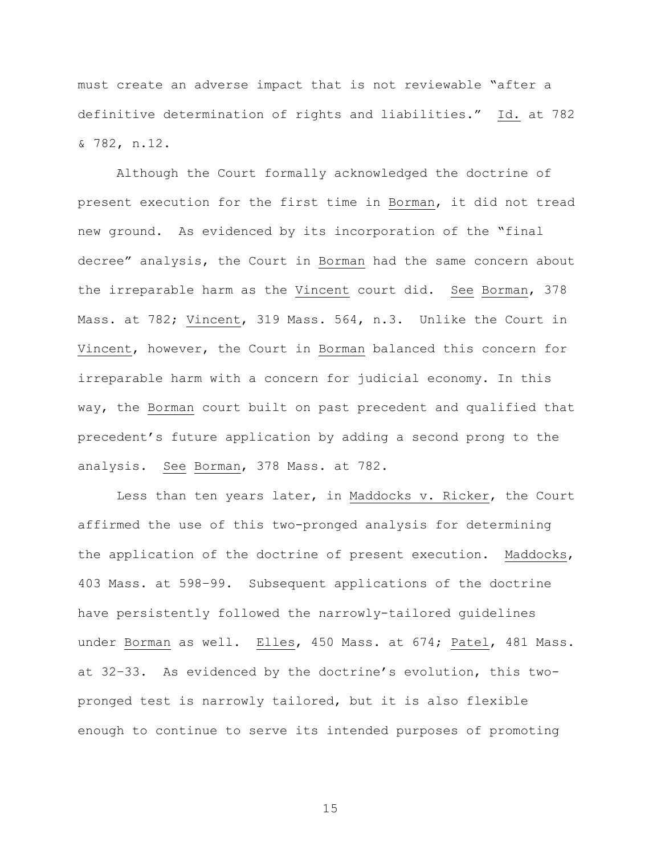must create an adverse impact that is not reviewable "after a definitive determination of rights and liabilities." Id. at 782 & 782, n.12.

Although the Court formally acknowledged the doctrine of present execution for the first time in Borman, it did not tread new ground. As evidenced by its incorporation of the "final decree" analysis, the Court in Borman had the same concern about the irreparable harm as the Vincent court did. See Borman, 378 Mass. at 782; Vincent, 319 Mass. 564, n.3. Unlike the Court in Vincent, however, the Court in Borman balanced this concern for irreparable harm with a concern for judicial economy. In this way, the Borman court built on past precedent and qualified that precedent's future application by adding a second prong to the analysis. See Borman, 378 Mass. at 782.

Less than ten years later, in Maddocks v. Ricker, the Court affirmed the use of this two-pronged analysis for determining the application of the doctrine of present execution. Maddocks, 403 Mass. at 598–99. Subsequent applications of the doctrine have persistently followed the narrowly-tailored guidelines under Borman as well. Elles, 450 Mass. at 674; Patel, 481 Mass. at 32–33. As evidenced by the doctrine's evolution, this twopronged test is narrowly tailored, but it is also flexible enough to continue to serve its intended purposes of promoting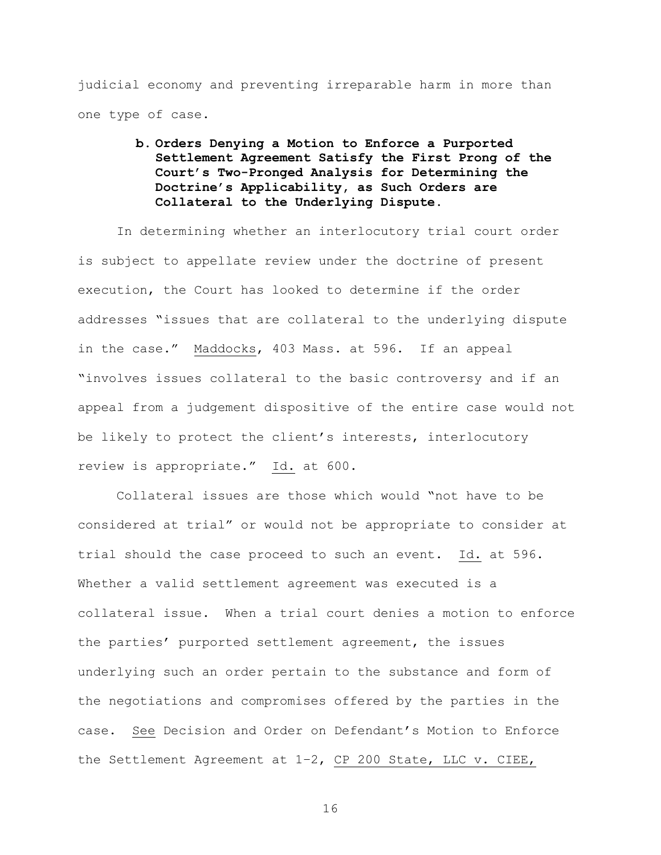judicial economy and preventing irreparable harm in more than one type of case.

# b. Orders Denying a Motion to Enforce a Purported Settlement Agreement Satisfy the First Prong of the Court's Two-Pronged Analysis for Determining the Doctrine's Applicability, as Such Orders are Collateral to the Underlying Dispute.

In determining whether an interlocutory trial court order is subject to appellate review under the doctrine of present execution, the Court has looked to determine if the order addresses "issues that are collateral to the underlying dispute in the case." Maddocks, 403 Mass. at 596. If an appeal "involves issues collateral to the basic controversy and if an appeal from a judgement dispositive of the entire case would not be likely to protect the client's interests, interlocutory review is appropriate." Id. at 600.

Collateral issues are those which would "not have to be considered at trial" or would not be appropriate to consider at trial should the case proceed to such an event. Id. at 596. Whether a valid settlement agreement was executed is a collateral issue. When a trial court denies a motion to enforce the parties' purported settlement agreement, the issues underlying such an order pertain to the substance and form of the negotiations and compromises offered by the parties in the case. See Decision and Order on Defendant's Motion to Enforce the Settlement Agreement at 1–2, CP 200 State, LLC v. CIEE,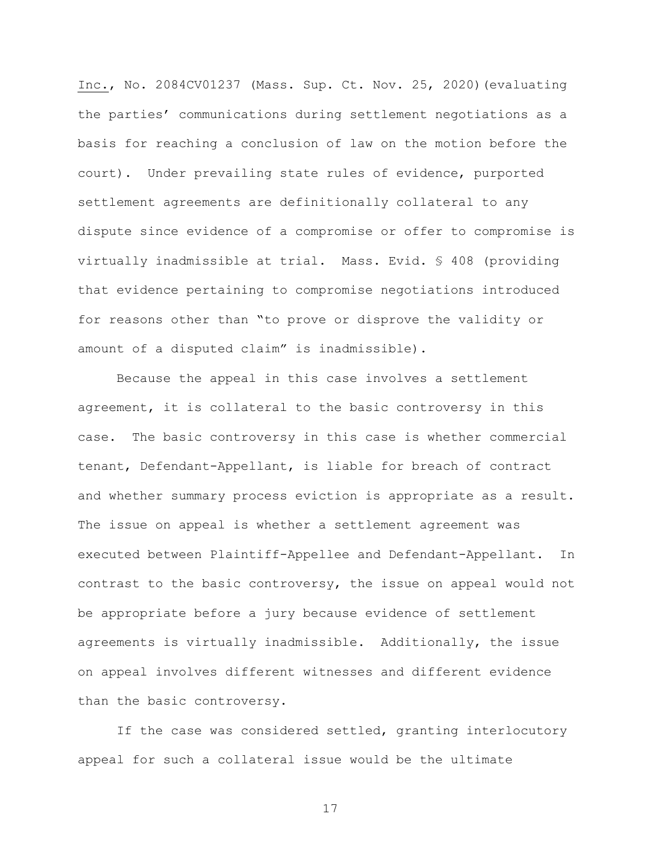Inc., No. 2084CV01237 (Mass. Sup. Ct. Nov. 25, 2020)(evaluating the parties' communications during settlement negotiations as a basis for reaching a conclusion of law on the motion before the court). Under prevailing state rules of evidence, purported settlement agreements are definitionally collateral to any dispute since evidence of a compromise or offer to compromise is virtually inadmissible at trial. Mass. Evid. § 408 (providing that evidence pertaining to compromise negotiations introduced for reasons other than "to prove or disprove the validity or amount of a disputed claim" is inadmissible).

Because the appeal in this case involves a settlement agreement, it is collateral to the basic controversy in this case. The basic controversy in this case is whether commercial tenant, Defendant-Appellant, is liable for breach of contract and whether summary process eviction is appropriate as a result. The issue on appeal is whether a settlement agreement was executed between Plaintiff-Appellee and Defendant-Appellant. In contrast to the basic controversy, the issue on appeal would not be appropriate before a jury because evidence of settlement agreements is virtually inadmissible. Additionally, the issue on appeal involves different witnesses and different evidence than the basic controversy.

If the case was considered settled, granting interlocutory appeal for such a collateral issue would be the ultimate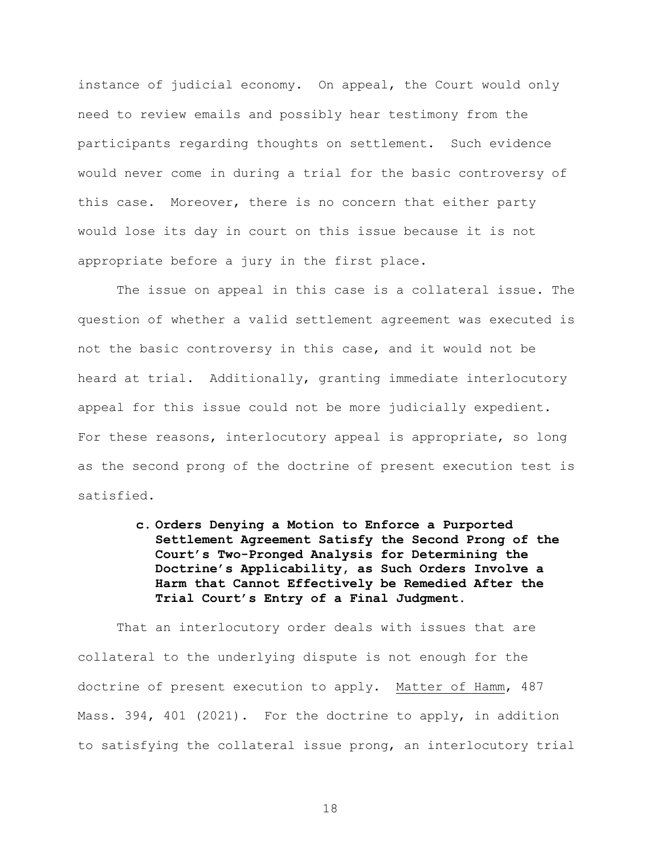instance of judicial economy. On appeal, the Court would only need to review emails and possibly hear testimony from the participants regarding thoughts on settlement. Such evidence would never come in during a trial for the basic controversy of this case. Moreover, there is no concern that either party would lose its day in court on this issue because it is not appropriate before a jury in the first place.

The issue on appeal in this case is a collateral issue. The question of whether a valid settlement agreement was executed is not the basic controversy in this case, and it would not be heard at trial. Additionally, granting immediate interlocutory appeal for this issue could not be more judicially expedient. For these reasons, interlocutory appeal is appropriate, so long as the second prong of the doctrine of present execution test is satisfied.

> c. Orders Denying a Motion to Enforce a Purported Settlement Agreement Satisfy the Second Prong of the Court's Two-Pronged Analysis for Determining the Doctrine's Applicability, as Such Orders Involve a Harm that Cannot Effectively be Remedied After the Trial Court's Entry of a Final Judgment.

That an interlocutory order deals with issues that are collateral to the underlying dispute is not enough for the doctrine of present execution to apply. Matter of Hamm, 487 Mass. 394, 401 (2021). For the doctrine to apply, in addition to satisfying the collateral issue prong, an interlocutory trial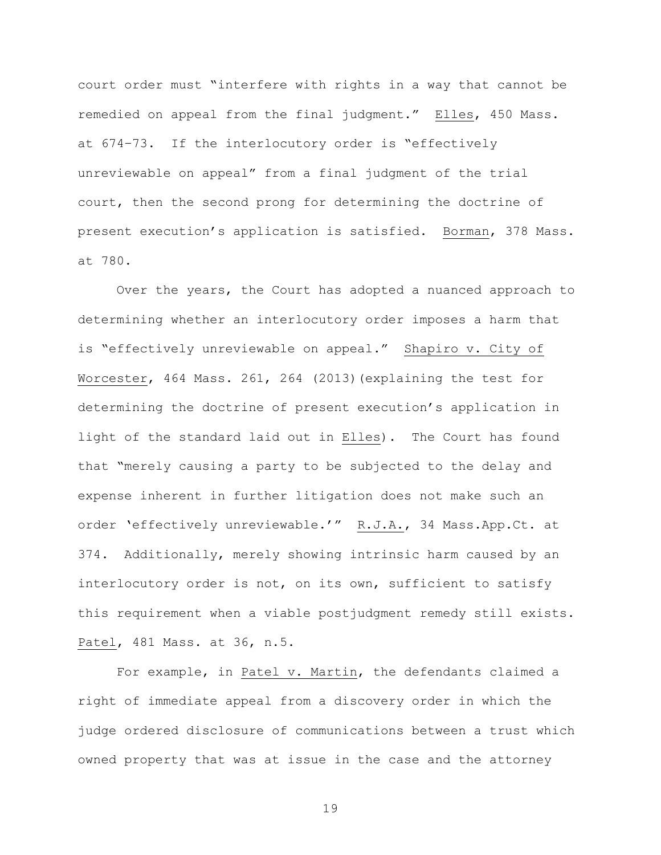court order must "interfere with rights in a way that cannot be remedied on appeal from the final judgment." Elles, 450 Mass. at 674–73. If the interlocutory order is "effectively unreviewable on appeal" from a final judgment of the trial court, then the second prong for determining the doctrine of present execution's application is satisfied. Borman, 378 Mass. at 780.

Over the years, the Court has adopted a nuanced approach to determining whether an interlocutory order imposes a harm that is "effectively unreviewable on appeal." Shapiro v. City of Worcester, 464 Mass. 261, 264 (2013)(explaining the test for determining the doctrine of present execution's application in light of the standard laid out in Elles). The Court has found that "merely causing a party to be subjected to the delay and expense inherent in further litigation does not make such an order 'effectively unreviewable.'" R.J.A., 34 Mass.App.Ct. at 374. Additionally, merely showing intrinsic harm caused by an interlocutory order is not, on its own, sufficient to satisfy this requirement when a viable postjudgment remedy still exists. Patel, 481 Mass. at 36, n.5.

For example, in Patel v. Martin, the defendants claimed a right of immediate appeal from a discovery order in which the judge ordered disclosure of communications between a trust which owned property that was at issue in the case and the attorney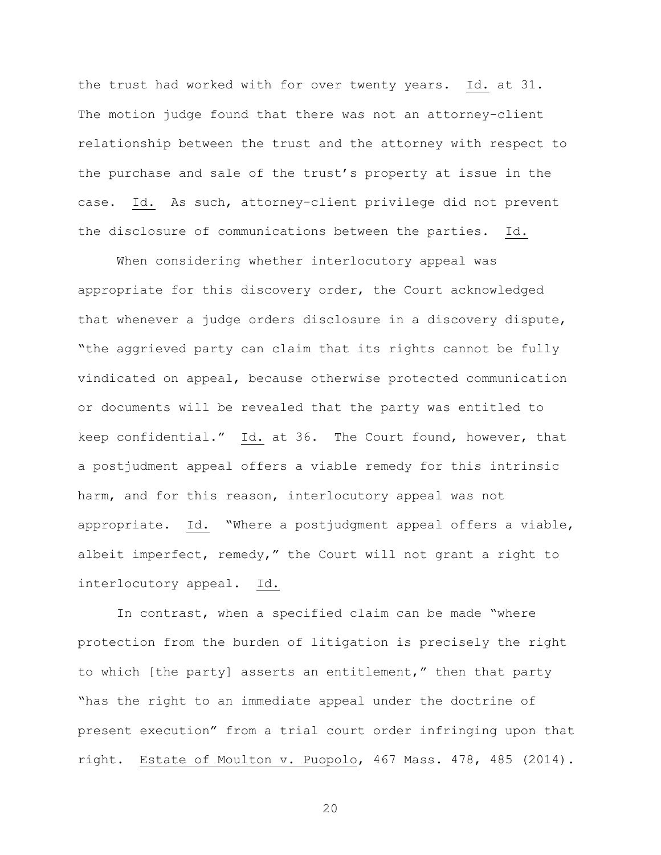the trust had worked with for over twenty years. Id. at 31. The motion judge found that there was not an attorney-client relationship between the trust and the attorney with respect to the purchase and sale of the trust's property at issue in the case. Id. As such, attorney-client privilege did not prevent the disclosure of communications between the parties. Id.

When considering whether interlocutory appeal was appropriate for this discovery order, the Court acknowledged that whenever a judge orders disclosure in a discovery dispute, "the aggrieved party can claim that its rights cannot be fully vindicated on appeal, because otherwise protected communication or documents will be revealed that the party was entitled to keep confidential." Id. at 36. The Court found, however, that a postjudment appeal offers a viable remedy for this intrinsic harm, and for this reason, interlocutory appeal was not appropriate. Id. "Where a postjudgment appeal offers a viable, albeit imperfect, remedy," the Court will not grant a right to interlocutory appeal. Id.

In contrast, when a specified claim can be made "where protection from the burden of litigation is precisely the right to which [the party] asserts an entitlement," then that party "has the right to an immediate appeal under the doctrine of present execution" from a trial court order infringing upon that right. Estate of Moulton v. Puopolo, 467 Mass. 478, 485 (2014).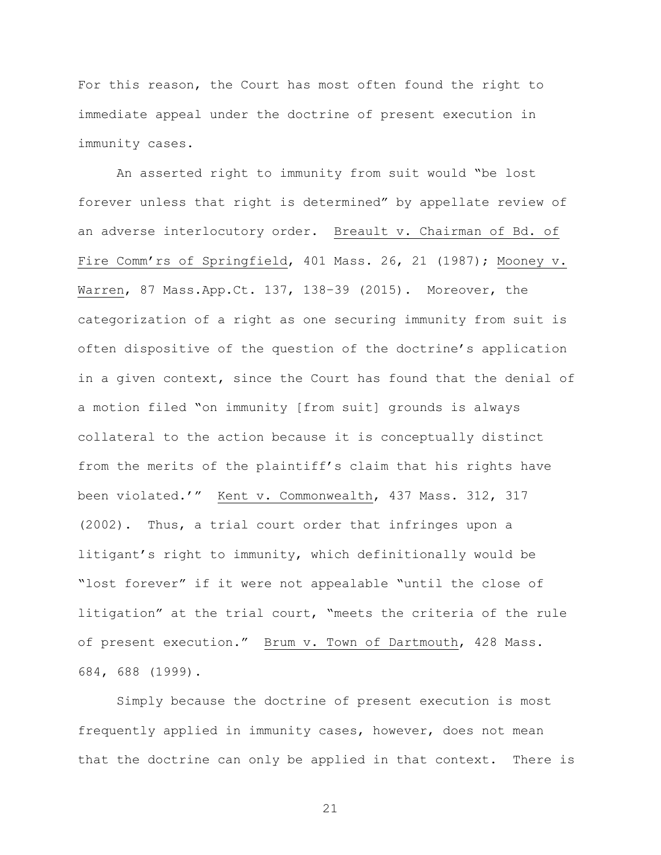For this reason, the Court has most often found the right to immediate appeal under the doctrine of present execution in immunity cases.

An asserted right to immunity from suit would "be lost forever unless that right is determined" by appellate review of an adverse interlocutory order. Breault v. Chairman of Bd. of Fire Comm'rs of Springfield, 401 Mass. 26, 21 (1987); Mooney v. Warren, 87 Mass.App.Ct. 137, 138–39 (2015). Moreover, the categorization of a right as one securing immunity from suit is often dispositive of the question of the doctrine's application in a given context, since the Court has found that the denial of a motion filed "on immunity [from suit] grounds is always collateral to the action because it is conceptually distinct from the merits of the plaintiff's claim that his rights have been violated.'" Kent v. Commonwealth, 437 Mass. 312, 317 (2002). Thus, a trial court order that infringes upon a litigant's right to immunity, which definitionally would be "lost forever" if it were not appealable "until the close of litigation" at the trial court, "meets the criteria of the rule of present execution." Brum v. Town of Dartmouth, 428 Mass. 684, 688 (1999).

Simply because the doctrine of present execution is most frequently applied in immunity cases, however, does not mean that the doctrine can only be applied in that context. There is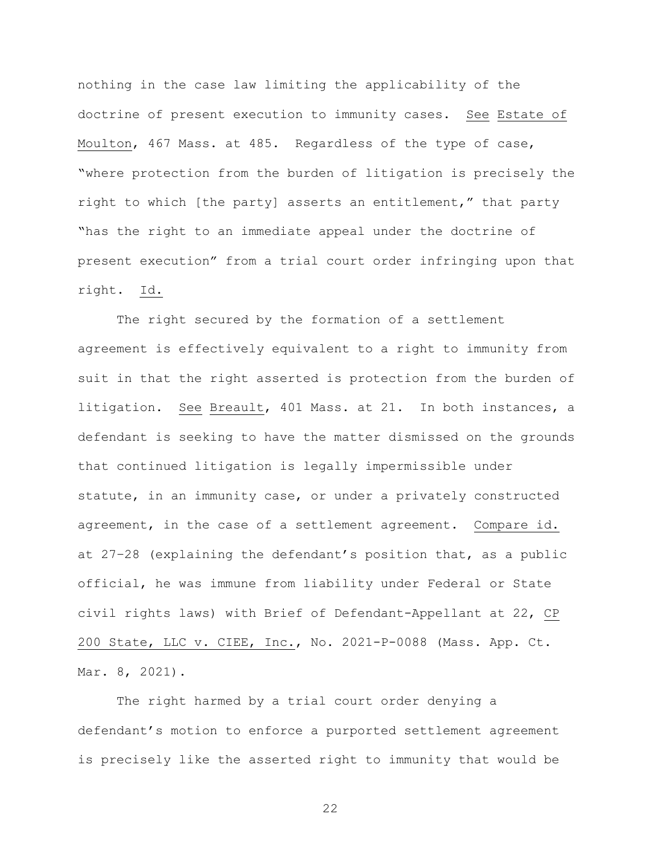nothing in the case law limiting the applicability of the doctrine of present execution to immunity cases. See Estate of Moulton, 467 Mass. at 485. Regardless of the type of case, "where protection from the burden of litigation is precisely the right to which [the party] asserts an entitlement," that party "has the right to an immediate appeal under the doctrine of present execution" from a trial court order infringing upon that right. Id.

The right secured by the formation of a settlement agreement is effectively equivalent to a right to immunity from suit in that the right asserted is protection from the burden of litigation. See Breault, 401 Mass. at 21. In both instances, a defendant is seeking to have the matter dismissed on the grounds that continued litigation is legally impermissible under statute, in an immunity case, or under a privately constructed agreement, in the case of a settlement agreement. Compare id. at 27–28 (explaining the defendant's position that, as a public official, he was immune from liability under Federal or State civil rights laws) with Brief of Defendant-Appellant at 22, CP 200 State, LLC v. CIEE, Inc., No. 2021-P-0088 (Mass. App. Ct. Mar. 8, 2021).

The right harmed by a trial court order denying a defendant's motion to enforce a purported settlement agreement is precisely like the asserted right to immunity that would be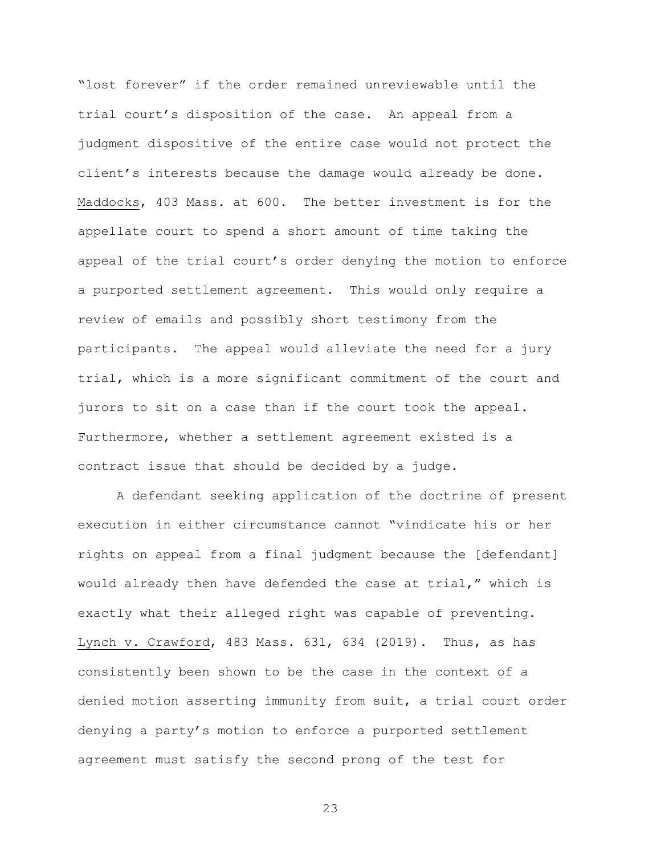"lost forever" if the order remained unreviewable until the trial court's disposition of the case. An appeal from a judgment dispositive of the entire case would not protect the client's interests because the damage would already be done. Maddocks, 403 Mass. at 600. The better investment is for the appellate court to spend a short amount of time taking the appeal of the trial court's order denying the motion to enforce a purported settlement agreement. This would only require a review of emails and possibly short testimony from the participants. The appeal would alleviate the need for a jury trial, which is a more significant commitment of the court and jurors to sit on a case than if the court took the appeal. Furthermore, whether a settlement agreement existed is a contract issue that should be decided by a judge.

A defendant seeking application of the doctrine of present execution in either circumstance cannot "vindicate his or her rights on appeal from a final judgment because the [defendant] would already then have defended the case at trial," which is exactly what their alleged right was capable of preventing. Lynch v. Crawford, 483 Mass. 631, 634 (2019). Thus, as has consistently been shown to be the case in the context of a denied motion asserting immunity from suit, a trial court order denying a party's motion to enforce a purported settlement agreement must satisfy the second prong of the test for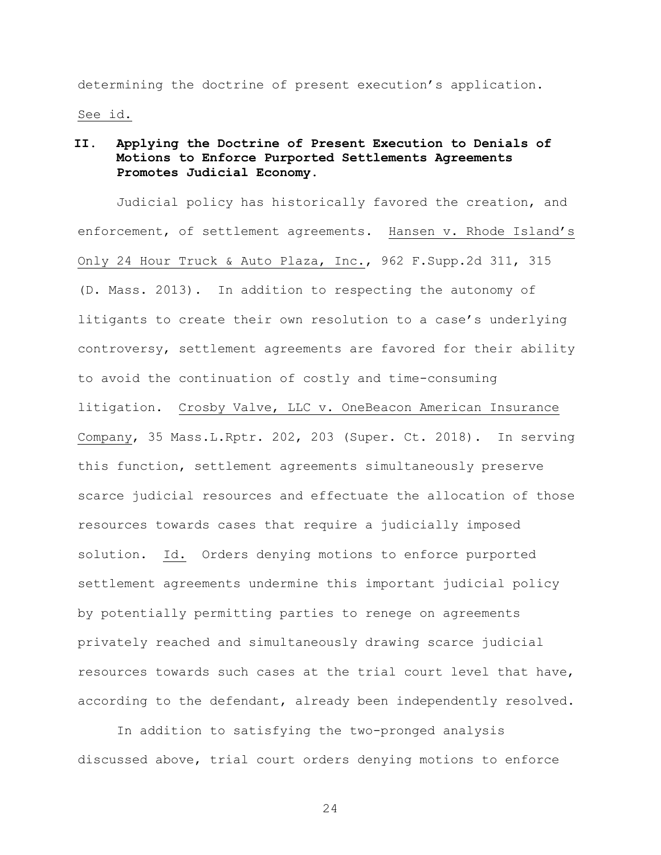determining the doctrine of present execution's application. See id.

## II. Applying the Doctrine of Present Execution to Denials of Motions to Enforce Purported Settlements Agreements Promotes Judicial Economy.

Judicial policy has historically favored the creation, and enforcement, of settlement agreements. Hansen v. Rhode Island's Only 24 Hour Truck & Auto Plaza, Inc., 962 F.Supp.2d 311, 315 (D. Mass. 2013). In addition to respecting the autonomy of litigants to create their own resolution to a case's underlying controversy, settlement agreements are favored for their ability to avoid the continuation of costly and time-consuming litigation. Crosby Valve, LLC v. OneBeacon American Insurance Company, 35 Mass.L.Rptr. 202, 203 (Super. Ct. 2018). In serving this function, settlement agreements simultaneously preserve scarce judicial resources and effectuate the allocation of those resources towards cases that require a judicially imposed solution. Id. Orders denying motions to enforce purported settlement agreements undermine this important judicial policy by potentially permitting parties to renege on agreements privately reached and simultaneously drawing scarce judicial resources towards such cases at the trial court level that have, according to the defendant, already been independently resolved.

In addition to satisfying the two-pronged analysis discussed above, trial court orders denying motions to enforce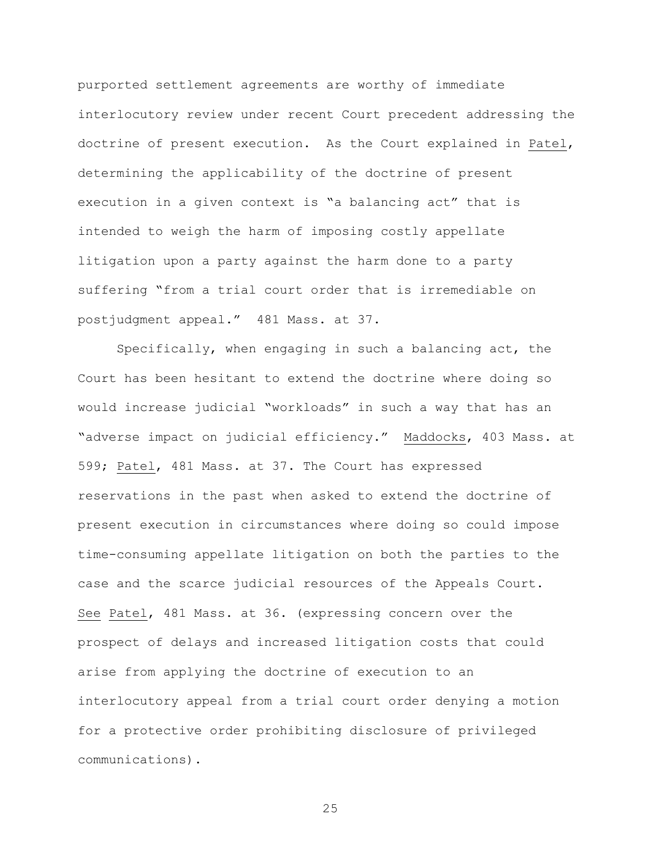purported settlement agreements are worthy of immediate interlocutory review under recent Court precedent addressing the doctrine of present execution. As the Court explained in Patel, determining the applicability of the doctrine of present execution in a given context is "a balancing act" that is intended to weigh the harm of imposing costly appellate litigation upon a party against the harm done to a party suffering "from a trial court order that is irremediable on postjudgment appeal." 481 Mass. at 37.

Specifically, when engaging in such a balancing act, the Court has been hesitant to extend the doctrine where doing so would increase judicial "workloads" in such a way that has an "adverse impact on judicial efficiency." Maddocks, 403 Mass. at 599; Patel, 481 Mass. at 37. The Court has expressed reservations in the past when asked to extend the doctrine of present execution in circumstances where doing so could impose time-consuming appellate litigation on both the parties to the case and the scarce judicial resources of the Appeals Court. See Patel, 481 Mass. at 36. (expressing concern over the prospect of delays and increased litigation costs that could arise from applying the doctrine of execution to an interlocutory appeal from a trial court order denying a motion for a protective order prohibiting disclosure of privileged communications).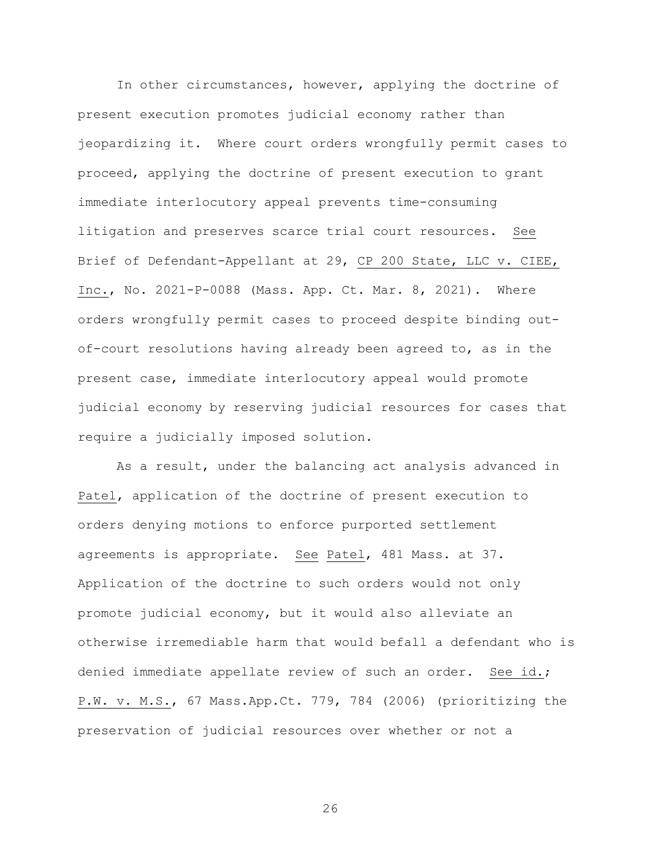In other circumstances, however, applying the doctrine of present execution promotes judicial economy rather than jeopardizing it. Where court orders wrongfully permit cases to proceed, applying the doctrine of present execution to grant immediate interlocutory appeal prevents time-consuming litigation and preserves scarce trial court resources. See Brief of Defendant-Appellant at 29, CP 200 State, LLC v. CIEE, Inc., No. 2021-P-0088 (Mass. App. Ct. Mar. 8, 2021). Where orders wrongfully permit cases to proceed despite binding outof-court resolutions having already been agreed to, as in the present case, immediate interlocutory appeal would promote judicial economy by reserving judicial resources for cases that require a judicially imposed solution.

As a result, under the balancing act analysis advanced in Patel, application of the doctrine of present execution to orders denying motions to enforce purported settlement agreements is appropriate. See Patel, 481 Mass. at 37. Application of the doctrine to such orders would not only promote judicial economy, but it would also alleviate an otherwise irremediable harm that would befall a defendant who is denied immediate appellate review of such an order. See id.; P.W. v. M.S., 67 Mass.App.Ct. 779, 784 (2006) (prioritizing the preservation of judicial resources over whether or not a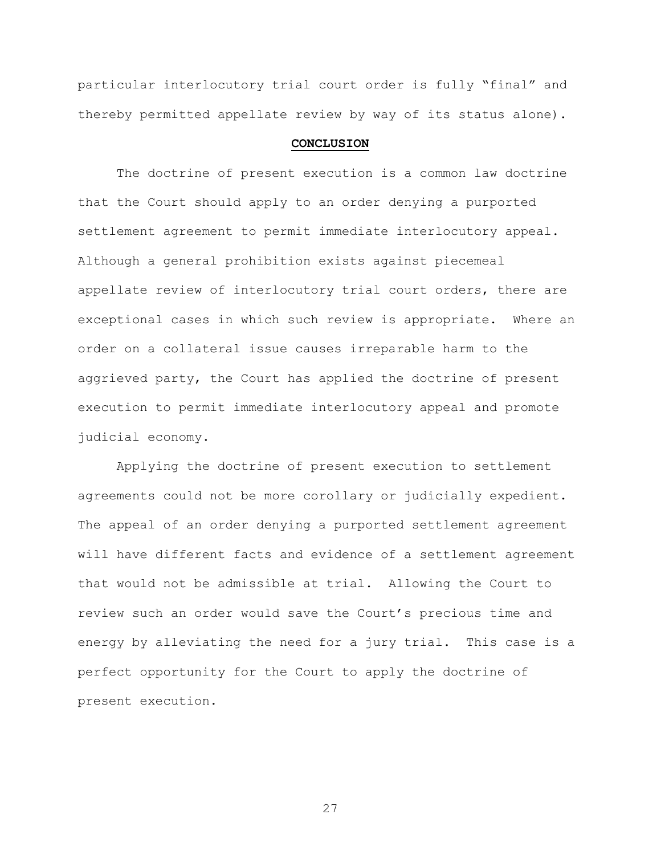particular interlocutory trial court order is fully "final" and thereby permitted appellate review by way of its status alone).

#### CONCLUSION

The doctrine of present execution is a common law doctrine that the Court should apply to an order denying a purported settlement agreement to permit immediate interlocutory appeal. Although a general prohibition exists against piecemeal appellate review of interlocutory trial court orders, there are exceptional cases in which such review is appropriate. Where an order on a collateral issue causes irreparable harm to the aggrieved party, the Court has applied the doctrine of present execution to permit immediate interlocutory appeal and promote judicial economy.

Applying the doctrine of present execution to settlement agreements could not be more corollary or judicially expedient. The appeal of an order denying a purported settlement agreement will have different facts and evidence of a settlement agreement that would not be admissible at trial. Allowing the Court to review such an order would save the Court's precious time and energy by alleviating the need for a jury trial. This case is a perfect opportunity for the Court to apply the doctrine of present execution.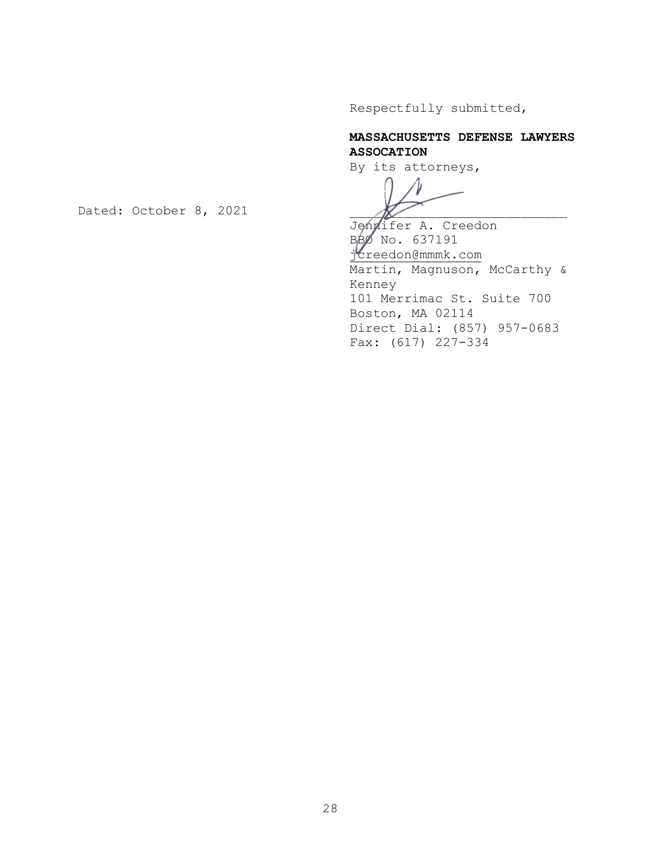Respectfully submitted,

# MASSACHUSETTS DEFENSE LAWYERS ASSOCATION

By its attorneys,

Jennifer A. Creedon BBO No. 637191 jcreedon@mmmk.com Martin, Magnuson, McCarthy & Kenney 101 Merrimac St. Suite 700 Boston, MA 02114 Direct Dial: (857) 957-0683 Fax: (617) 227-334

Dated: October 8, 2021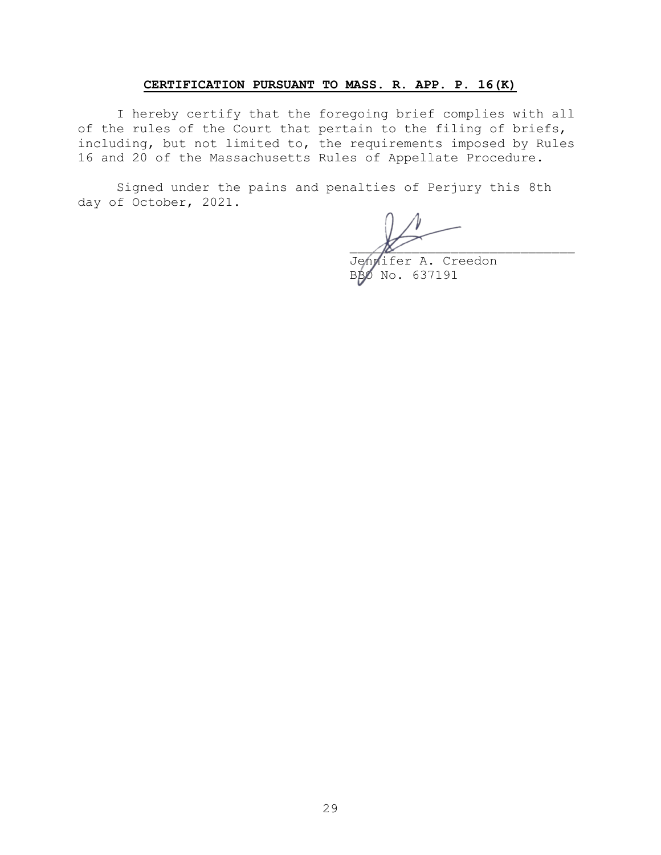### CERTIFICATION PURSUANT TO MASS. R. APP. P. 16(K)

I hereby certify that the foregoing brief complies with all of the rules of the Court that pertain to the filing of briefs, including, but not limited to, the requirements imposed by Rules 16 and 20 of the Massachusetts Rules of Appellate Procedure.

Signed under the pains and penalties of Perjury this 8th day of October, 2021.

 $\mathcal{N}$ 

Jennifer A. Creedon BBO No. 637191